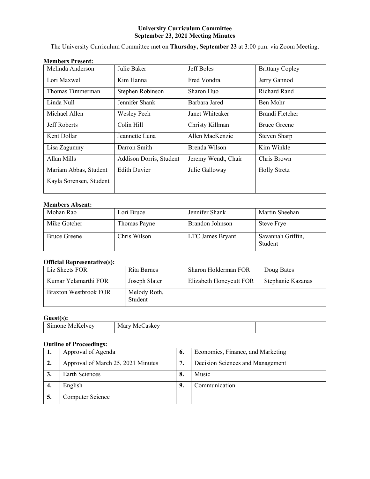## **University Curriculum Committee September 23, 2021 Meeting Minutes**

The University Curriculum Committee met on **Thursday, September 23** at 3:00 p.m. via Zoom Meeting.

| Melinda Anderson        | Julie Baker             | Jeff Boles          | <b>Brittany Copley</b> |
|-------------------------|-------------------------|---------------------|------------------------|
| Lori Maxwell            | Kim Hanna               | Fred Vondra         | Jerry Gannod           |
| Thomas Timmerman        | Stephen Robinson        | Sharon Huo          | <b>Richard Rand</b>    |
| Linda Null              | Jennifer Shank          | Barbara Jared       | Ben Mohr               |
| Michael Allen           | <b>Wesley Pech</b>      | Janet Whiteaker     | Brandi Fletcher        |
| Jeff Roberts            | Colin Hill              | Christy Killman     | <b>Bruce Greene</b>    |
| Kent Dollar             | Jeannette Luna          | Allen MacKenzie     | Steven Sharp           |
| Lisa Zagumny            | Darron Smith            | Brenda Wilson       | Kim Winkle             |
| Allan Mills             | Addison Dorris, Student | Jeremy Wendt, Chair | Chris Brown            |
| Mariam Abbas, Student   | <b>Edith Duvier</b>     | Julie Galloway      | <b>Holly Stretz</b>    |
| Kayla Sorensen, Student |                         |                     |                        |

# **Members Present:**

## **Members Absent:**

| Mohan Rao           | Lori Bruce   | Jennifer Shank   | Martin Sheehan               |
|---------------------|--------------|------------------|------------------------------|
| Mike Gotcher        | Thomas Payne | Brandon Johnson  | <b>Steve Frye</b>            |
| <b>Bruce Greene</b> | Chris Wilson | LTC James Bryant | Savannah Griffin,<br>Student |

### **Official Representative(s):**

| Liz Sheets FOR               | Rita Barnes             | Sharon Holderman FOR    | Doug Bates        |
|------------------------------|-------------------------|-------------------------|-------------------|
| Kumar Yelamarthi FOR         | Joseph Slater           | Elizabeth Honeycutt FOR | Stephanie Kazanas |
| <b>Braxton Westbrook FOR</b> | Melody Roth,<br>Student |                         |                   |

## **Guest(s):**

|  |  | $- -$<br>IVI<br>. н<br>. | <b>CALL 2006</b><br>$\mathbf{M} \in \mathbb{R}$<br>---<br>N |  |  |
|--|--|--------------------------|-------------------------------------------------------------|--|--|
|--|--|--------------------------|-------------------------------------------------------------|--|--|

## **Outline of Proceedings:**

| 1. | Approval of Agenda                 | o. | Economics, Finance, and Marketing |
|----|------------------------------------|----|-----------------------------------|
| 2. | Approval of March 25, 2021 Minutes | 7. | Decision Sciences and Management  |
|    | Earth Sciences                     | 8. | Music                             |
| 4. | English                            | 9. | Communication                     |
|    | Computer Science                   |    |                                   |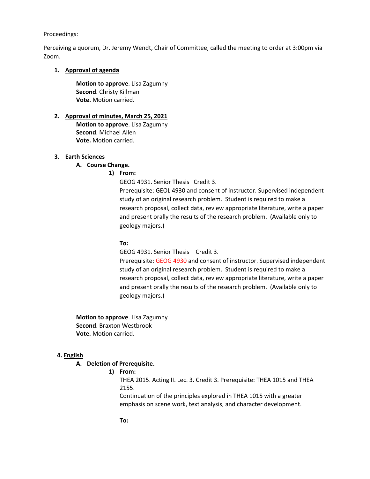#### Proceedings:

Perceiving a quorum, Dr. Jeremy Wendt, Chair of Committee, called the meeting to order at 3:00pm via Zoom.

#### **1. Approval of agenda**

**Motion to approve**. Lisa Zagumny **Second**. Christy Killman **Vote.** Motion carried.

# **2. Approval of minutes, March 25, 2021**

**Motion to approve**. Lisa Zagumny **Second**. Michael Allen **Vote.** Motion carried.

#### **3. Earth Sciences**

## **A. Course Change.**

**1) From:** 

GEOG 4931. Senior Thesis Credit 3.

Prerequisite: GEOL 4930 and consent of instructor. Supervised independent study of an original research problem. Student is required to make a research proposal, collect data, review appropriate literature, write a paper and present orally the results of the research problem. (Available only to geology majors.)

#### **To:**

GEOG 4931. Senior Thesis Credit 3.

Prerequisite: GEOG 4930 and consent of instructor. Supervised independent study of an original research problem. Student is required to make a research proposal, collect data, review appropriate literature, write a paper and present orally the results of the research problem. (Available only to geology majors.)

**Motion to approve**. Lisa Zagumny **Second**. Braxton Westbrook **Vote.** Motion carried.

## **4. English**

#### **A. Deletion of Prerequisite.**

**1) From:** 

THEA 2015. Acting II. Lec. 3. Credit 3. Prerequisite: THEA 1015 and THEA 2155.

Continuation of the principles explored in THEA 1015 with a greater emphasis on scene work, text analysis, and character development.

**To:**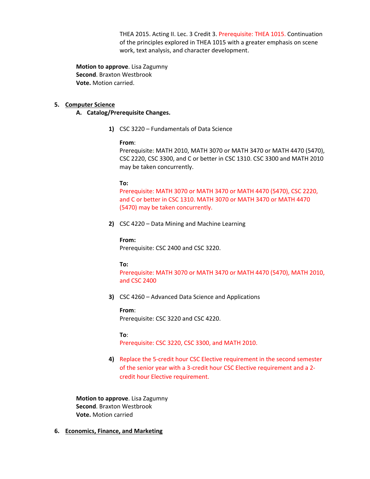THEA 2015. Acting II. Lec. 3 Credit 3. Prerequisite: THEA 1015. Continuation of the principles explored in THEA 1015 with a greater emphasis on scene work, text analysis, and character development.

**Motion to approve**. Lisa Zagumny **Second**. Braxton Westbrook **Vote.** Motion carried.

## **5. Computer Science**

### **A. Catalog/Prerequisite Changes.**

**1)** CSC 3220 – Fundamentals of Data Science

## **From**:

Prerequisite: MATH 2010, MATH 3070 or MATH 3470 or MATH 4470 (5470), CSC 2220, CSC 3300, and C or better in CSC 1310. CSC 3300 and MATH 2010 may be taken concurrently.

#### **To:**

Prerequisite: MATH 3070 or MATH 3470 or MATH 4470 (5470), CSC 2220, and C or better in CSC 1310. MATH 3070 or MATH 3470 or MATH 4470 (5470) may be taken concurrently.

**2)** CSC 4220 – Data Mining and Machine Learning

#### **From:**

Prerequisite: CSC 2400 and CSC 3220.

#### **To:**

Prerequisite: MATH 3070 or MATH 3470 or MATH 4470 (5470), MATH 2010, and CSC 2400

**3)** CSC 4260 – Advanced Data Science and Applications

## **From**:

Prerequisite: CSC 3220 and CSC 4220.

#### **To**:

Prerequisite: CSC 3220, CSC 3300, and MATH 2010.

**4)** Replace the 5-credit hour CSC Elective requirement in the second semester of the senior year with a 3-credit hour CSC Elective requirement and a 2 credit hour Elective requirement.

**Motion to approve**. Lisa Zagumny **Second**. Braxton Westbrook **Vote.** Motion carried

**6. Economics, Finance, and Marketing**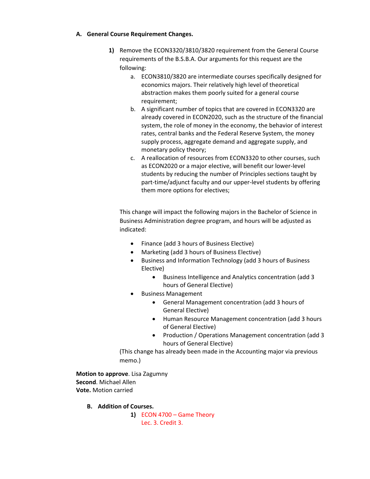## **A. General Course Requirement Changes.**

- **1)** Remove the ECON3320/3810/3820 requirement from the General Course requirements of the B.S.B.A. Our arguments for this request are the following:
	- a. ECON3810/3820 are intermediate courses specifically designed for economics majors. Their relatively high level of theoretical abstraction makes them poorly suited for a general course requirement;
	- b. A significant number of topics that are covered in ECON3320 are already covered in ECON2020, such as the structure of the financial system, the role of money in the economy, the behavior of interest rates, central banks and the Federal Reserve System, the money supply process, aggregate demand and aggregate supply, and monetary policy theory;
	- c. A reallocation of resources from ECON3320 to other courses, such as ECON2020 or a major elective, will benefit our lower-level students by reducing the number of Principles sections taught by part-time/adjunct faculty and our upper-level students by offering them more options for electives;

This change will impact the following majors in the Bachelor of Science in Business Administration degree program, and hours will be adjusted as indicated:

- Finance (add 3 hours of Business Elective)
- Marketing (add 3 hours of Business Elective)
- Business and Information Technology (add 3 hours of Business Elective)
	- Business Intelligence and Analytics concentration (add 3 hours of General Elective)
- Business Management
	- General Management concentration (add 3 hours of General Elective)
	- Human Resource Management concentration (add 3 hours of General Elective)
	- Production / Operations Management concentration (add 3 hours of General Elective)

(This change has already been made in the Accounting major via previous memo.)

**Motion to approve**. Lisa Zagumny **Second**. Michael Allen **Vote.** Motion carried

- **B. Addition of Courses.**
	- **1)** ECON 4700 Game Theory Lec. 3. Credit 3.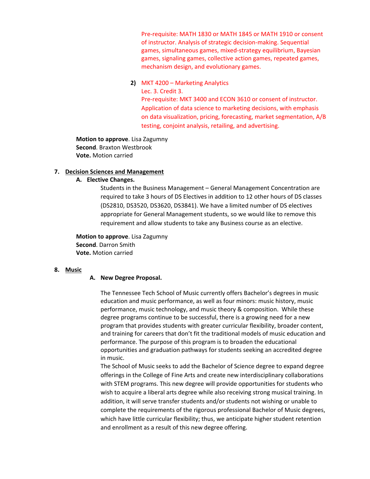Pre-requisite: MATH 1830 or MATH 1845 or MATH 1910 or consent of instructor. Analysis of strategic decision-making. Sequential games, simultaneous games, mixed-strategy equilibrium, Bayesian games, signaling games, collective action games, repeated games, mechanism design, and evolutionary games.

**2)** MKT 4200 – Marketing Analytics

Lec. 3. Credit 3. Pre-requisite: MKT 3400 and ECON 3610 or consent of instructor. Application of data science to marketing decisions, with emphasis on data visualization, pricing, forecasting, market segmentation, A/B testing, conjoint analysis, retailing, and advertising.

**Motion to approve**. Lisa Zagumny **Second**. Braxton Westbrook **Vote.** Motion carried

## **7. Decision Sciences and Management**

**A. Elective Changes.** 

Students in the Business Management – General Management Concentration are required to take 3 hours of DS Electives in addition to 12 other hours of DS classes (DS2810, DS3520, DS3620, DS3841). We have a limited number of DS electives appropriate for General Management students, so we would like to remove this requirement and allow students to take any Business course as an elective.

**Motion to approve**. Lisa Zagumny **Second**. Darron Smith **Vote.** Motion carried

# **8. Music**

## **A. New Degree Proposal.**

The Tennessee Tech School of Music currently offers Bachelor's degrees in music education and music performance, as well as four minors: music history, music performance, music technology, and music theory & composition. While these degree programs continue to be successful, there is a growing need for a new program that provides students with greater curricular flexibility, broader content, and training for careers that don't fit the traditional models of music education and performance. The purpose of this program is to broaden the educational opportunities and graduation pathways for students seeking an accredited degree in music.

The School of Music seeks to add the Bachelor of Science degree to expand degree offerings in the College of Fine Arts and create new interdisciplinary collaborations with STEM programs. This new degree will provide opportunities for students who wish to acquire a liberal arts degree while also receiving strong musical training. In addition, it will serve transfer students and/or students not wishing or unable to complete the requirements of the rigorous professional Bachelor of Music degrees, which have little curricular flexibility; thus, we anticipate higher student retention and enrollment as a result of this new degree offering.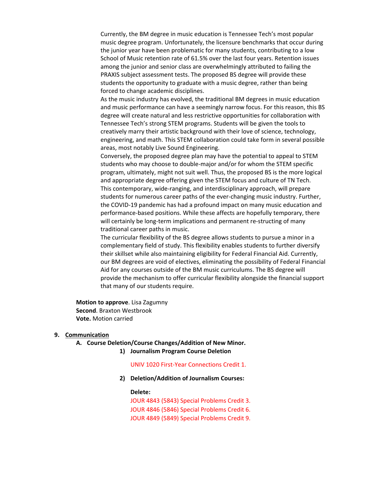Currently, the BM degree in music education is Tennessee Tech's most popular music degree program. Unfortunately, the licensure benchmarks that occur during the junior year have been problematic for many students, contributing to a low School of Music retention rate of 61.5% over the last four years. Retention issues among the junior and senior class are overwhelmingly attributed to failing the PRAXIS subject assessment tests. The proposed BS degree will provide these students the opportunity to graduate with a music degree, rather than being forced to change academic disciplines.

As the music industry has evolved, the traditional BM degrees in music education and music performance can have a seemingly narrow focus. For this reason, this BS degree will create natural and less restrictive opportunities for collaboration with Tennessee Tech's strong STEM programs. Students will be given the tools to creatively marry their artistic background with their love of science, technology, engineering, and math. This STEM collaboration could take form in several possible areas, most notably Live Sound Engineering.

Conversely, the proposed degree plan may have the potential to appeal to STEM students who may choose to double-major and/or for whom the STEM specific program, ultimately, might not suit well. Thus, the proposed BS is the more logical and appropriate degree offering given the STEM focus and culture of TN Tech. This contemporary, wide-ranging, and interdisciplinary approach, will prepare students for numerous career paths of the ever-changing music industry. Further, the COVID-19 pandemic has had a profound impact on many music education and performance-based positions. While these affects are hopefully temporary, there will certainly be long-term implications and permanent re-structing of many traditional career paths in music.

The curricular flexibility of the BS degree allows students to pursue a minor in a complementary field of study. This flexibility enables students to further diversify their skillset while also maintaining eligibility for Federal Financial Aid. Currently, our BM degrees are void of electives, eliminating the possibility of Federal Financial Aid for any courses outside of the BM music curriculums. The BS degree will provide the mechanism to offer curricular flexibility alongside the financial support that many of our students require.

**Motion to approve**. Lisa Zagumny **Second**. Braxton Westbrook **Vote.** Motion carried

#### **9. Communication**

#### **A. Course Deletion/Course Changes/Addition of New Minor.**

**1) Journalism Program Course Deletion** 

#### UNIV 1020 First-Year Connections Credit 1.

**2) Deletion/Addition of Journalism Courses:**

**Delete:** JOUR 4843 (5843) Special Problems Credit 3. JOUR 4846 (5846) Special Problems Credit 6. JOUR 4849 (5849) Special Problems Credit 9.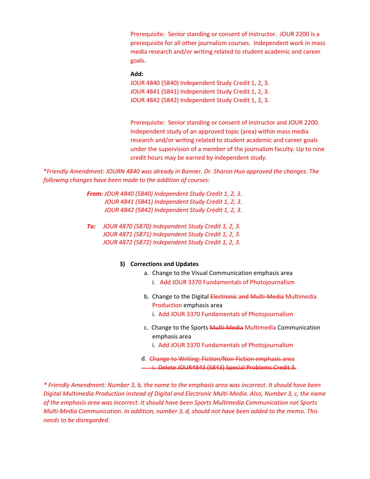Prerequisite: Senior standing or consent of instructor. JOUR 2200 is a prerequisite for all other journalism courses. Independent work in mass media research and/or writing related to student academic and career goals.

### **Add:**

JOUR 4840 (5840) Independent Study Credit 1, 2, 3. JOUR 4841 (5841) Independent Study Credit 1, 2, 3. JOUR 4842 (5842) Independent Study Credit 1, 2, 3.

Prerequisite: Senior standing or consent of instructor and JOUR 2200. Independent study of an approved topic (area) within mass media research and/or writing related to student academic and career goals under the supervision of a member of the journalism faculty. Up to nine credit hours may be earned by independent study.

\**Friendly Amendment: JOURN 4840 was already in Banner. Dr. Sharon Huo approved the changes. The following changes have been made to the addition of courses:*

> *From: JOUR 4840 (5840) Independent Study Credit 1, 2, 3. JOUR 4841 (5841) Independent Study Credit 1, 2, 3. JOUR 4842 (5842) Independent Study Credit 1, 2, 3.*

> *To: JOUR 4870 (5870) Independent Study Credit 1, 2, 3. JOUR 4871 (5871) Independent Study Credit 1, 2, 3. JOUR 4872 (5872) Independent Study Credit 1, 2, 3.*

#### **3) Corrections and Updates**

- a. Change to the Visual Communication emphasis area i. Add JOUR 3370 Fundamentals of Photojournalism
- b. Change to the Digital Electronic and Multi-Media Multimedia Production emphasis area i. Add JOUR 3370 Fundamentals of Photojournalism
- c. Change to the Sports Multi-Media Multimedia Communication emphasis area
	- i. Add JOUR 3370 Fundamentals of Photojournalism
- d. Change to Writing: Fiction/Non-Fiction emphasis area i. Delete JOUR4843 (5843) Special Problems Credit 3.

*\* Friendly Amendment: Number 3, b, the name to the emphasis area was incorrect. It should have been Digital Multimedia Production instead of Digital and Electronic Multi-Media. Also, Number 3, c, the name of the emphasis area was incorrect. It should have been Sports Multimedia Communication not Sports Multi-Media Communication. In addition, number 3, d, should not have been added to the memo. This needs to be disregarded.*